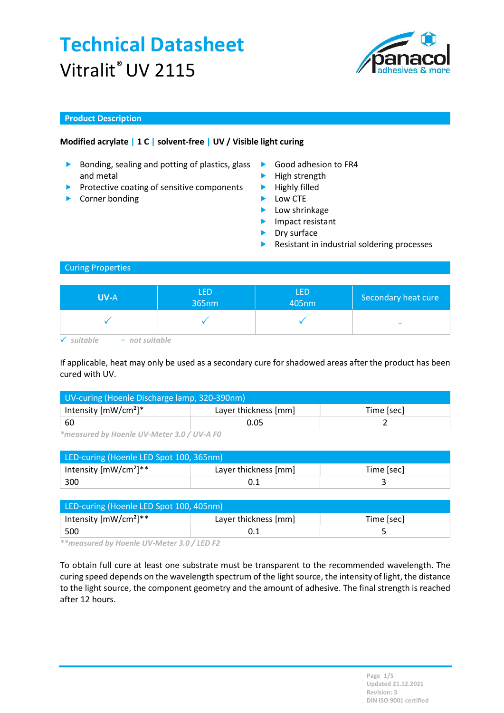

### Product Description

## Modified acrylate | 1 C | solvent-free | UV / Visible light curing

- Bonding, sealing and potting of plastics, glass  $\blacktriangleright$ and metal
- $\blacktriangleright$  Protective coating of sensitive components
- ▶ Corner bonding **Low CTE**
- Good adhesion to FR4
- $\blacktriangleright$  High strength
- $\blacktriangleright$  Highly filled
	-
	- **Low shrinkage**
	- **Impact resistant**
	- **Dry surface**
	- Resistant in industrial soldering processes

#### Curing Properties

| <b>UV-A</b>      | <b>LED</b><br>365nm | LED<br>405nm | Secondary heat cure      |
|------------------|---------------------|--------------|--------------------------|
|                  |                     |              | $\overline{\phantom{a}}$ |
| itabl<br>$-$ not |                     |              |                          |

If applicable, heat may only be used as a secondary cure for shadowed areas after the product has been

cured with UV.

| UV-curing (Hoenle Discharge lamp, 320-390nm) |                      |            |  |
|----------------------------------------------|----------------------|------------|--|
| Intensity $[mW/cm^2]^*$                      | Layer thickness [mm] | Time [sec] |  |
| ' 60                                         | 0.05                 |            |  |

\*measured by Hoenle UV-Meter 3.0 / UV-A F0

| LED-curing (Hoenle LED Spot 100, 365nm) |                      |            |  |
|-----------------------------------------|----------------------|------------|--|
| Intensity $[mW/cm^2]^{**}$              | Layer thickness [mm] | Time [sec] |  |
| 300                                     |                      |            |  |

| LED-curing (Hoenle LED Spot 100, 405nm) |                      |            |  |
|-----------------------------------------|----------------------|------------|--|
| Intensity $[mW/cm^2]^{**}$              | Layer thickness [mm] | Time [sec] |  |
| 500                                     |                      |            |  |

\*\*measured by Hoenle UV-Meter 3.0 / LED F2

To obtain full cure at least one substrate must be transparent to the recommended wavelength. The curing speed depends on the wavelength spectrum of the light source, the intensity of light, the distance to the light source, the component geometry and the amount of adhesive. The final strength is reached after 12 hours.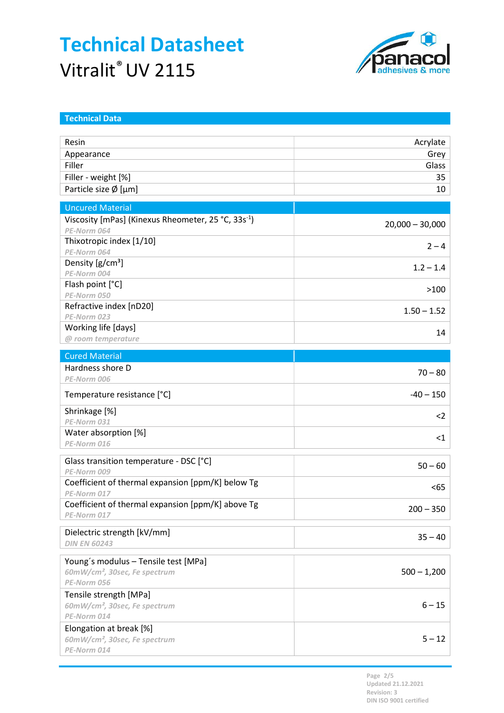

| <b>Technical Data</b>                                               |                   |
|---------------------------------------------------------------------|-------------------|
| Resin                                                               |                   |
|                                                                     | Acrylate          |
| Appearance<br>Filler                                                | Grey<br>Glass     |
|                                                                     |                   |
| Filler - weight [%]                                                 | 35                |
| Particle size $\emptyset$ [µm]                                      | 10                |
| <b>Uncured Material</b>                                             |                   |
| Viscosity [mPas] (Kinexus Rheometer, 25 °C, 33s <sup>-1</sup> )     | $20,000 - 30,000$ |
| PE-Norm 064                                                         |                   |
| Thixotropic index [1/10]                                            | $2 - 4$           |
| PE-Norm 064                                                         |                   |
| Density [g/cm <sup>3</sup> ]<br>PE-Norm 004                         | $1.2 - 1.4$       |
| Flash point [°C]                                                    |                   |
| PE-Norm 050                                                         | >100              |
| Refractive index [nD20]                                             |                   |
| PE-Norm 023                                                         | $1.50 - 1.52$     |
| Working life [days]                                                 |                   |
| @ room temperature                                                  | 14                |
| <b>Cured Material</b>                                               |                   |
| Hardness shore D                                                    | $70 - 80$         |
| PE-Norm 006                                                         |                   |
| Temperature resistance [°C]                                         | $-40 - 150$       |
| Shrinkage [%]                                                       | $2$               |
| PE-Norm 031                                                         |                   |
| Water absorption [%]                                                | $<$ 1             |
| PE-Norm 016                                                         |                   |
| Glass transition temperature - DSC [°C]                             |                   |
| PE-Norm 009                                                         | $50 - 60$         |
| Coefficient of thermal expansion [ppm/K] below Tg                   | $65$              |
| PE-Norm 017                                                         |                   |
| Coefficient of thermal expansion [ppm/K] above Tg                   | $200 - 350$       |
| PE-Norm 017                                                         |                   |
| Dielectric strength [kV/mm]                                         |                   |
| <b>DIN EN 60243</b>                                                 | $35 - 40$         |
|                                                                     |                   |
| Young's modulus - Tensile test [MPa]                                |                   |
| 60mW/cm <sup>2</sup> , 30sec, Fe spectrum<br>PE-Norm 056            | $500 - 1,200$     |
|                                                                     |                   |
| Tensile strength [MPa]<br>60mW/cm <sup>2</sup> , 30sec, Fe spectrum | $6 - 15$          |
| PE-Norm 014                                                         |                   |
| Elongation at break [%]                                             |                   |
| 60mW/cm <sup>2</sup> , 30sec, Fe spectrum                           | $5 - 12$          |
| PE-Norm 014                                                         |                   |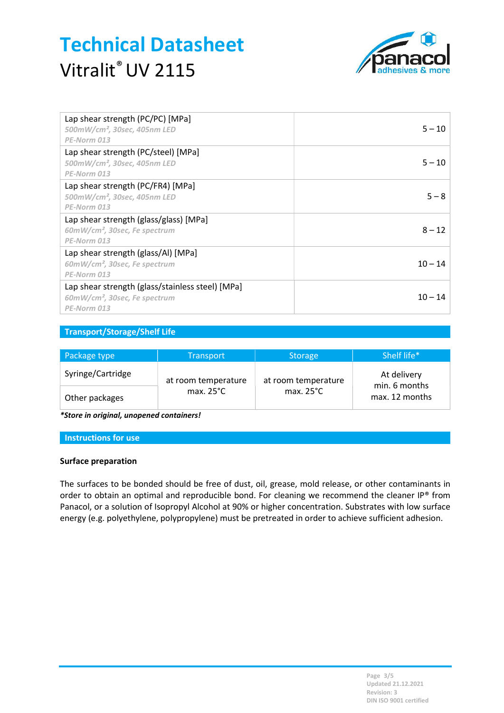

| Lap shear strength (PC/PC) [MPa]<br>$500$ mW/cm <sup>2</sup> , 30sec, 405nm LED<br>PE-Norm 013               | $5 - 10$  |
|--------------------------------------------------------------------------------------------------------------|-----------|
| Lap shear strength (PC/steel) [MPa]<br>$500$ mW/cm <sup>2</sup> , 30sec, 405nm LED<br>PE-Norm 013            | $5 - 10$  |
| Lap shear strength (PC/FR4) [MPa]<br>$500$ mW/cm <sup>2</sup> , 30sec, 405nm LED<br>PE-Norm 013              | $5 - 8$   |
| Lap shear strength (glass/glass) [MPa]<br>60mW/cm <sup>2</sup> , 30sec, Fe spectrum<br>PE-Norm 013           | $8 - 12$  |
| Lap shear strength (glass/Al) [MPa]<br>60mW/cm <sup>2</sup> , 30sec, Fe spectrum<br>PE-Norm 013              | $10 - 14$ |
| Lap shear strength (glass/stainless steel) [MPa]<br>60mW/cm <sup>2</sup> , 30sec, Fe spectrum<br>PE-Norm 013 | $10 - 14$ |

## Transport/Storage/Shelf Life

| Package type      | <b>Transport</b>    | Storage             | Shelf life*                  |
|-------------------|---------------------|---------------------|------------------------------|
| Syringe/Cartridge | at room temperature | at room temperature | At delivery<br>min. 6 months |
| Other packages    | max. $25^{\circ}$ C | max. $25^{\circ}$ C | max. 12 months               |

\*Store in original, unopened containers!

#### Instructions for use

#### Surface preparation

The surfaces to be bonded should be free of dust, oil, grease, mold release, or other contaminants in order to obtain an optimal and reproducible bond. For cleaning we recommend the cleaner IP® from Panacol, or a solution of Isopropyl Alcohol at 90% or higher concentration. Substrates with low surface energy (e.g. polyethylene, polypropylene) must be pretreated in order to achieve sufficient adhesion.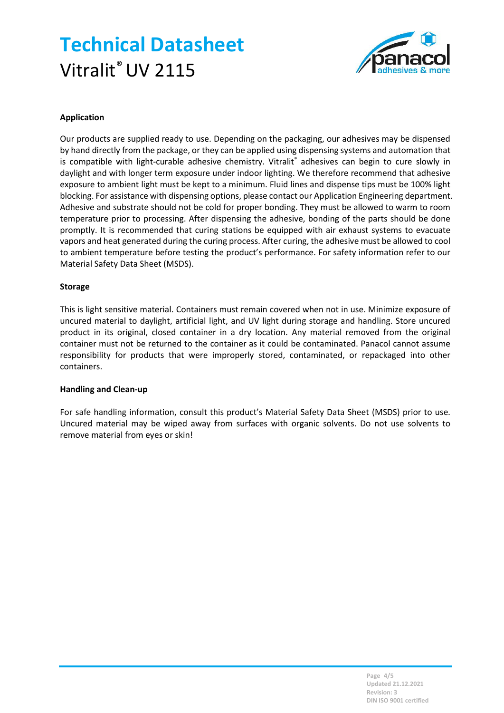# Technical Datasheet Vitralit<sup>®</sup> UV 2115



## Application

Our products are supplied ready to use. Depending on the packaging, our adhesives may be dispensed by hand directly from the package, or they can be applied using dispensing systems and automation that is compatible with light-curable adhesive chemistry. Vitralit® adhesives can begin to cure slowly in daylight and with longer term exposure under indoor lighting. We therefore recommend that adhesive exposure to ambient light must be kept to a minimum. Fluid lines and dispense tips must be 100% light blocking. For assistance with dispensing options, please contact our Application Engineering department. Adhesive and substrate should not be cold for proper bonding. They must be allowed to warm to room temperature prior to processing. After dispensing the adhesive, bonding of the parts should be done promptly. It is recommended that curing stations be equipped with air exhaust systems to evacuate vapors and heat generated during the curing process. After curing, the adhesive must be allowed to cool to ambient temperature before testing the product's performance. For safety information refer to our Material Safety Data Sheet (MSDS).

#### Storage

This is light sensitive material. Containers must remain covered when not in use. Minimize exposure of uncured material to daylight, artificial light, and UV light during storage and handling. Store uncured product in its original, closed container in a dry location. Any material removed from the original container must not be returned to the container as it could be contaminated. Panacol cannot assume responsibility for products that were improperly stored, contaminated, or repackaged into other containers.

#### Handling and Clean-up

For safe handling information, consult this product's Material Safety Data Sheet (MSDS) prior to use. Uncured material may be wiped away from surfaces with organic solvents. Do not use solvents to remove material from eyes or skin!